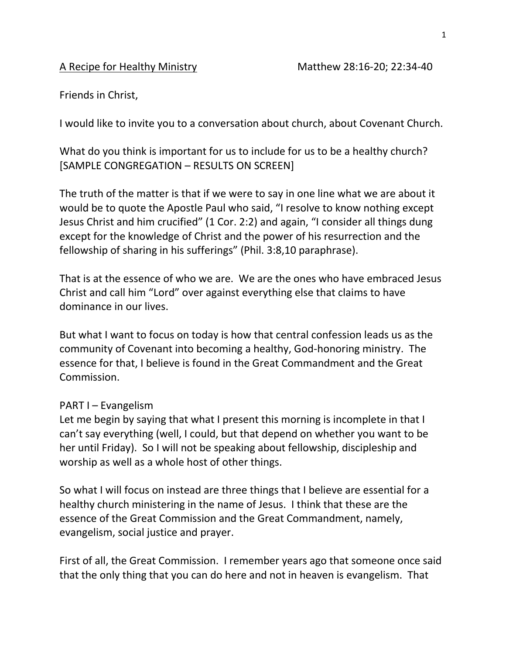## A Recipe for Healthy Ministry Matthew 28:16-20; 22:34-40

Friends in Christ,

I would like to invite you to a conversation about church, about Covenant Church.

What do you think is important for us to include for us to be a healthy church? [SAMPLE CONGREGATION – RESULTS ON SCREEN]

The truth of the matter is that if we were to say in one line what we are about it would be to quote the Apostle Paul who said, "I resolve to know nothing except Jesus Christ and him crucified" (1 Cor. 2:2) and again, "I consider all things dung except for the knowledge of Christ and the power of his resurrection and the fellowship of sharing in his sufferings" (Phil. 3:8,10 paraphrase).

That is at the essence of who we are. We are the ones who have embraced Jesus Christ and call him "Lord" over against everything else that claims to have dominance in our lives.

But what I want to focus on today is how that central confession leads us as the community of Covenant into becoming a healthy, God-honoring ministry. The essence for that, I believe is found in the Great Commandment and the Great Commission.

## PART I – Evangelism

Let me begin by saying that what I present this morning is incomplete in that I can't say everything (well, I could, but that depend on whether you want to be her until Friday). So I will not be speaking about fellowship, discipleship and worship as well as a whole host of other things.

So what I will focus on instead are three things that I believe are essential for a healthy church ministering in the name of Jesus. I think that these are the essence of the Great Commission and the Great Commandment, namely, evangelism, social justice and prayer.

First of all, the Great Commission. I remember years ago that someone once said that the only thing that you can do here and not in heaven is evangelism. That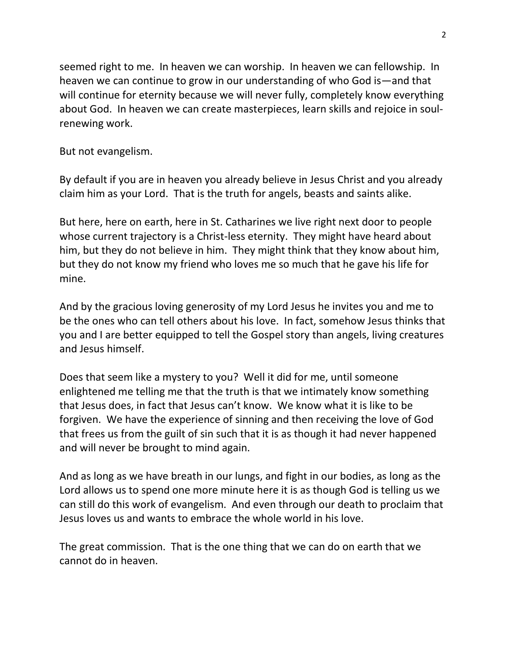seemed right to me. In heaven we can worship. In heaven we can fellowship. In heaven we can continue to grow in our understanding of who God is—and that will continue for eternity because we will never fully, completely know everything about God. In heaven we can create masterpieces, learn skills and rejoice in soulrenewing work.

But not evangelism.

By default if you are in heaven you already believe in Jesus Christ and you already claim him as your Lord. That is the truth for angels, beasts and saints alike.

But here, here on earth, here in St. Catharines we live right next door to people whose current trajectory is a Christ-less eternity. They might have heard about him, but they do not believe in him. They might think that they know about him, but they do not know my friend who loves me so much that he gave his life for mine.

And by the gracious loving generosity of my Lord Jesus he invites you and me to be the ones who can tell others about his love. In fact, somehow Jesus thinks that you and I are better equipped to tell the Gospel story than angels, living creatures and Jesus himself.

Does that seem like a mystery to you? Well it did for me, until someone enlightened me telling me that the truth is that we intimately know something that Jesus does, in fact that Jesus can't know. We know what it is like to be forgiven. We have the experience of sinning and then receiving the love of God that frees us from the guilt of sin such that it is as though it had never happened and will never be brought to mind again.

And as long as we have breath in our lungs, and fight in our bodies, as long as the Lord allows us to spend one more minute here it is as though God is telling us we can still do this work of evangelism. And even through our death to proclaim that Jesus loves us and wants to embrace the whole world in his love.

The great commission. That is the one thing that we can do on earth that we cannot do in heaven.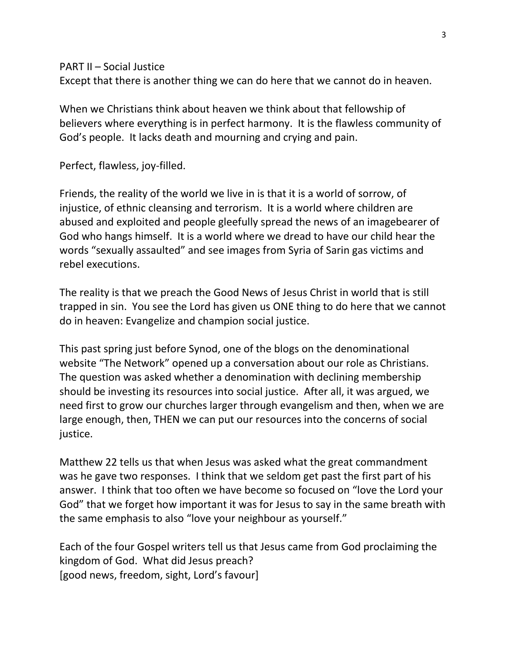PART II – Social Justice

Except that there is another thing we can do here that we cannot do in heaven.

When we Christians think about heaven we think about that fellowship of believers where everything is in perfect harmony. It is the flawless community of God's people. It lacks death and mourning and crying and pain.

Perfect, flawless, joy-filled.

Friends, the reality of the world we live in is that it is a world of sorrow, of injustice, of ethnic cleansing and terrorism. It is a world where children are abused and exploited and people gleefully spread the news of an imagebearer of God who hangs himself. It is a world where we dread to have our child hear the words "sexually assaulted" and see images from Syria of Sarin gas victims and rebel executions.

The reality is that we preach the Good News of Jesus Christ in world that is still trapped in sin. You see the Lord has given us ONE thing to do here that we cannot do in heaven: Evangelize and champion social justice.

This past spring just before Synod, one of the blogs on the denominational website "The Network" opened up a conversation about our role as Christians. The question was asked whether a denomination with declining membership should be investing its resources into social justice. After all, it was argued, we need first to grow our churches larger through evangelism and then, when we are large enough, then, THEN we can put our resources into the concerns of social justice.

Matthew 22 tells us that when Jesus was asked what the great commandment was he gave two responses. I think that we seldom get past the first part of his answer. I think that too often we have become so focused on "love the Lord your God" that we forget how important it was for Jesus to say in the same breath with the same emphasis to also "love your neighbour as yourself."

Each of the four Gospel writers tell us that Jesus came from God proclaiming the kingdom of God. What did Jesus preach? [good news, freedom, sight, Lord's favour]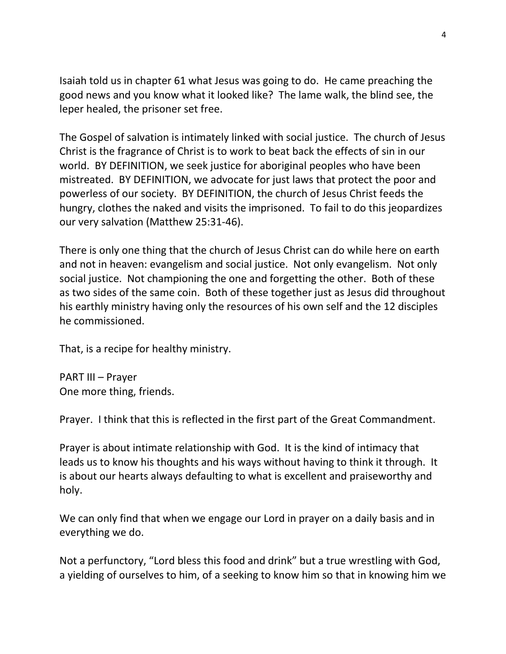Isaiah told us in chapter 61 what Jesus was going to do. He came preaching the good news and you know what it looked like? The lame walk, the blind see, the leper healed, the prisoner set free.

The Gospel of salvation is intimately linked with social justice. The church of Jesus Christ is the fragrance of Christ is to work to beat back the effects of sin in our world. BY DEFINITION, we seek justice for aboriginal peoples who have been mistreated. BY DEFINITION, we advocate for just laws that protect the poor and powerless of our society. BY DEFINITION, the church of Jesus Christ feeds the hungry, clothes the naked and visits the imprisoned. To fail to do this jeopardizes our very salvation (Matthew 25:31-46).

There is only one thing that the church of Jesus Christ can do while here on earth and not in heaven: evangelism and social justice. Not only evangelism. Not only social justice. Not championing the one and forgetting the other. Both of these as two sides of the same coin. Both of these together just as Jesus did throughout his earthly ministry having only the resources of his own self and the 12 disciples he commissioned.

That, is a recipe for healthy ministry.

PART III – Prayer One more thing, friends.

Prayer. I think that this is reflected in the first part of the Great Commandment.

Prayer is about intimate relationship with God. It is the kind of intimacy that leads us to know his thoughts and his ways without having to think it through. It is about our hearts always defaulting to what is excellent and praiseworthy and holy.

We can only find that when we engage our Lord in prayer on a daily basis and in everything we do.

Not a perfunctory, "Lord bless this food and drink" but a true wrestling with God, a yielding of ourselves to him, of a seeking to know him so that in knowing him we